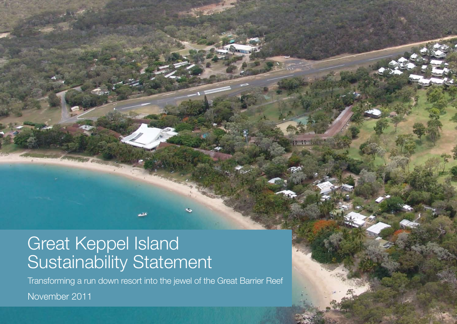# Great Keppel Island Sustainability Statement

Transforming a run down resort into the jewel of the Great Barrier Reef

November 2011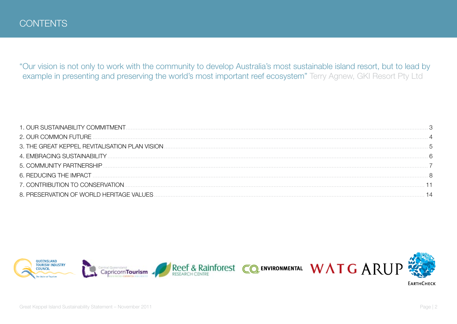"Our vision is not only to work with the community to develop Australia's most sustainable island resort, but to lead by example in presenting and preserving the world's most important reef ecosystem" Terry Agnew, GKI Resort Pty Ltd

| 1. OUR SUSTAINABILITY COMMITMENT.               |  |
|-------------------------------------------------|--|
|                                                 |  |
| 3. THE GREAT KEPPEL REVITALISATION PLAN VISION. |  |
| 4. EMBRACING SUSTAINABILITY.                    |  |
|                                                 |  |
|                                                 |  |
| 7. CONTRIBUTION TO CONSERVATION.                |  |
| 8. PRESERVATION OF WORLD HERITAGE VALUES.       |  |



Great Keppel Island Sustainability Statement - November 2011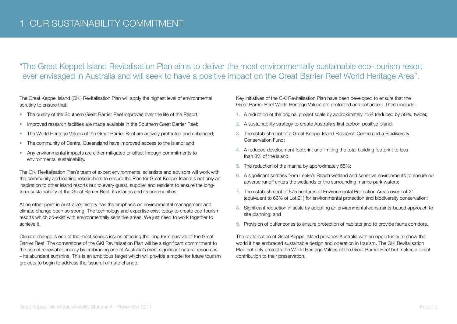### "The Great Keppel Island Revitalisation Plan aims to deliver the most environmentally sustainable eco-tourism resort ever envisaged in Australia and will seek to have a positive impact on the Great Barrier Reef World Heritage Area".

The Great Keppel Island (GKI) Revitalisation Plan will apply the highest level of environmental scrutiny to ensure that:

- The quality of the Southern Great Barrier Reef improves over the life of the Resort;
- Improved research facilities are made available in the Southern Great Barrier Reef;
- The World Heritage Values of the Great Barrier Reef are actively protected and enhanced;
- The community of Central Queensland have improved access to the Island; and
- Any environmental impacts are either mitigated or offset through commitments to environmental sustainability.

The GKI Revitalisation Plan's team of expert environmental scientists and advisors will work with the community and leading researchers to ensure the Plan for Great Keppel Island is not only an inspiration to other island resorts but to every guest, supplier and resident to ensure the longterm sustainability of the Great Barrier Reef, its islands and its communities.

At no other point in Australia's history has the emphasis on environmental management and climate change been so strong. The technology and expertise exist today to create eco-tourism resorts which co-exist with environmentally sensitive areas. We just need to work together to achieve it.

Climate change is one of the most serious issues affecting the long term survival of the Great Barrier Reef. The cornerstone of the GKI Revitalisation Plan will be a significant commitment to the use of renewable energy by embracing one of Australia's most significant natural resources – its abundant sunshine. This is an ambitious target which will provide a model for future tourism projects to begin to address the issue of climate change.

Key initiatives of the GKI Revitalisation Plan have been developed to ensure that the Great Barrier Reef World Heritage Values are protected and enhanced. These include:

- 1. A reduction of the original project scale by approximately 75% (reduced by 50%, twice);
- 2. A sustainability strategy to create Australia's first carbon-positive island;
- 3. The establishment of a Great Keppel Island Research Centre and a Biodiversity Conservation Fund;
- 4. A reduced development footprint and limiting the total building footprint to less than 3% of the island;
- 5. The reduction of the marina by approximately 55%;
- 6. A significant setback from Leeke's Beach wetland and sensitive environments to ensure no adverse runoff enters the wetlands or the surrounding marine park waters;
- 7. The establishment of 575 hectares of Environmental Protection Areas over Lot 21 (equivalent to 66% of Lot 21) for environmental protection and biodiversity conservation;
- 8. Significant reduction in scale by adopting an environmental constraints-based approach to site planning; and
- 9. Provision of buffer zones to ensure protection of habitats and to provide fauna corridors.

The revitalisation of Great Keppel Island provides Australia with an opportunity to show the world it has embraced sustainable design and operation in tourism. The GKI Revitalisation Plan not only protects the World Heritage Values of the Great Barrier Reef but makes a direct contribution to their preservation.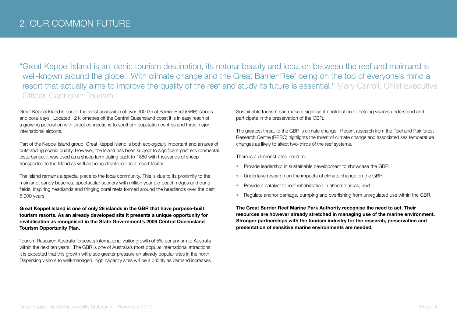"Great Keppel Island is an iconic tourism destination, its natural beauty and location between the reef and mainland is well-known around the globe. With climate change and the Great Barrier Reef being on the top of everyone's mind a resort that actually aims to improve the quality of the reef and study its future is essential." Mary Carroll, Chief Executive Officer, Capricorn Tourism

Great Keppel Island is one of the most accessible of over 900 Great Barrier Reef (GBR) islands and coral cays. Located 12 kilometres off the Central Queensland coast it is in easy reach of a growing population with direct connections to southern population centres and three major international airports.

Part of the Keppel Island group, Great Keppel Island is both ecologically important and an area of outstanding scenic quality. However, the Island has been subject to significant past environmental disturbance. It was used as a sheep farm dating back to 1860 with thousands of sheep transported to the Island as well as being developed as a resort facility.

The island remains a special place to the local community. This is due to its proximity to the mainland, sandy beaches, spectacular scenery with million year old beach ridges and dune fields, inspiring headlands and fringing coral reefs formed around the headlands over the past 5,000 years.

**Great Keppel Island is one of only 28 islands in the GBR that have purpose-built tourism resorts. As an already developed site it presents a unique opportunity for revitalisation as recognised in the State Government's 2009 Central Queensland Tourism Opportunity Plan.** 

Tourism Research Australia forecasts international visitor growth of 5% per annum to Australia within the next ten years. The GBR is one of Australia's most popular international attractions. It is expected that this growth will place greater pressure on already popular sites in the north. Dispersing visitors to well-managed, high capacity sites will be a priority as demand increases. Sustainable tourism can make a significant contribution to helping visitors understand and participate in the preservation of the GBR.

The greatest threat to the GBR is climate change. Recent research from the Reef and Rainforest Research Centre (RRRC) highlights the threat of climate change and associated sea temperature changes as likely to affect two-thirds of the reef systems.

There is a demonstrated need to:

- Provide leadership in sustainable development to showcase the GBR;
- Undertake research on the impacts of climate change on the GBR:
- Provide a catalyst to reef rehabilitation in affected areas; and
- Regulate anchor damage, dumping and overfishing from unregulated use within the GBR.

**The Great Barrier Reef Marine Park Authority recognise the need to act. Their resources are however already stretched in managing use of the marine environment. Stronger partnerships with the tourism industry for the research, preservation and presentation of sensitive marine environments are needed.**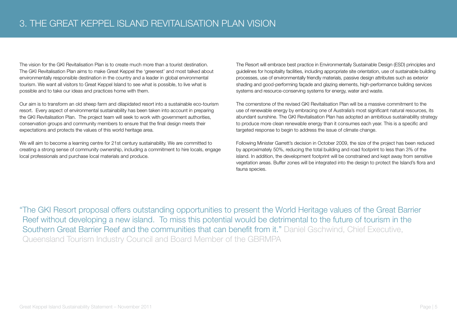The vision for the GKI Revitalisation Plan is to create much more than a tourist destination. The GKI Revitalisation Plan aims to make Great Keppel the 'greenest' and most talked about environmentally responsible destination in the country and a leader in global environmental tourism. We want all visitors to Great Keppel Island to see what is possible, to live what is possible and to take our ideas and practices home with them.

Our aim is to transform an old sheep farm and dilapidated resort into a sustainable eco-tourism resort. Every aspect of environmental sustainability has been taken into account in preparing the GKI Revitalisation Plan. The project team will seek to work with government authorities, conservation groups and community members to ensure that the final design meets their expectations and protects the values of this world heritage area.

We will aim to become a learning centre for 21st century sustainability. We are committed to creating a strong sense of community ownership, including a commitment to hire locals, engage local professionals and purchase local materials and produce.

The Resort will embrace best practice in Environmentally Sustainable Design (ESD) principles and guidelines for hospitality facilities, including appropriate site orientation, use of sustainable building processes, use of environmentally friendly materials, passive design attributes such as exterior shading and good-performing façade and glazing elements, high-performance building services systems and resource-conserving systems for energy, water and waste.

The cornerstone of the revised GKI Revitalisation Plan will be a massive commitment to the use of renewable energy by embracing one of Australia's most significant natural resources, its abundant sunshine. The GKI Revitalisation Plan has adopted an ambitious sustainability strategy to produce more clean renewable energy than it consumes each year. This is a specific and targeted response to begin to address the issue of climate change.

Following Minister Garrett's decision in October 2009, the size of the project has been reduced by approximately 50%, reducing the total building and road footprint to less than 3% of the island. In addition, the development footprint will be constrained and kept away from sensitive vegetation areas. Buffer zones will be integrated into the design to protect the Island's flora and fauna species.

"The GKI Resort proposal offers outstanding opportunities to present the World Heritage values of the Great Barrier Reef without developing a new island. To miss this potential would be detrimental to the future of tourism in the Southern Great Barrier Reef and the communities that can benefit from it." Daniel Gschwind, Chief Executive, Queensland Tourism Industry Council and Board Member of the GBRMPA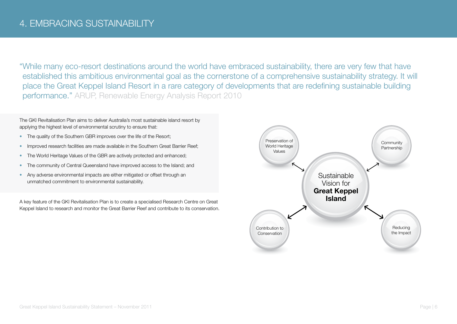"While many eco-resort destinations around the world have embraced sustainability, there are very few that have established this ambitious environmental goal as the cornerstone of a comprehensive sustainability strategy. It will place the Great Keppel Island Resort in a rare category of developments that are redefining sustainable building performance." ARUP, Renewable Energy Analysis Report 2010

The GKI Revitalisation Plan aims to deliver Australia's most sustainable island resort by applying the highest level of environmental scrutiny to ensure that:

- The quality of the Southern GBR improves over the life of the Resort;
- Improved research facilities are made available in the Southern Great Barrier Reef;
- The World Heritage Values of the GBR are actively protected and enhanced;
- The community of Central Queensland have improved access to the Island; and
- Any adverse environmental impacts are either mitigated or offset through an unmatched commitment to environmental sustainability.

A key feature of the GKI Revitalisation Plan is to create a specialised Research Centre on Great Keppel Island to research and monitor the Great Barrier Reef and contribute to its conservation.

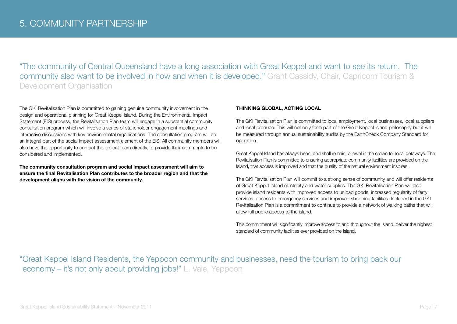"The community of Central Queensland have a long association with Great Keppel and want to see its return. The community also want to be involved in how and when it is developed." Grant Cassidy, Chair, Capricorn Tourism & Development Organisation

The GKI Revitalisation Plan is committed to gaining genuine community involvement in the design and operational planning for Great Keppel Island. During the Environmental Impact Statement (EIS) process, the Revitalisation Plan team will engage in a substantial community consultation program which will involve a series of stakeholder engagement meetings and interactive discussions with key environmental organisations. The consultation program will be an integral part of the social impact assessment element of the EIS. All community members will also have the opportunity to contact the project team directly, to provide their comments to be considered and implemented.

**The community consultation program and social impact assessment will aim to ensure the final Revitalisation Plan contributes to the broader region and that the development aligns with the vision of the community.**

### **THINKING GLOBAL, ACTING LOCAL**

The GKI Revitalisation Plan is committed to local employment, local businesses, local suppliers and local produce. This will not only form part of the Great Keppel Island philosophy but it will be measured through annual sustainability audits by the EarthCheck Company Standard for operation.

Great Keppel Island has always been, and shall remain, a jewel in the crown for local getaways. The Revitalisation Plan is committed to ensuring appropriate community facilities are provided on the Island, that access is improved and that the quality of the natural environment inspires .

The GKI Revitalisation Plan will commit to a strong sense of community and will offer residents of Great Keppel Island electricity and water supplies. The GKI Revitalisation Plan will also provide island residents with improved access to unload goods, increased regularity of ferry services, access to emergency services and improved shopping facilities. Included in the GKI Revitalisation Plan is a commitment to continue to provide a network of walking paths that will allow full public access to the island.

This commitment will significantly improve access to and throughout the Island, deliver the highest standard of community facilities ever provided on the Island.

"Great Keppel Island Residents, the Yeppoon community and businesses, need the tourism to bring back our economy – it's not only about providing jobs!" L. Vale, Yeppoon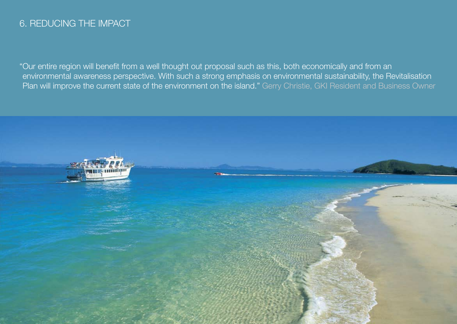### 6. REDUCING THE IMPACT

"Our entire region will benefit from a well thought out proposal such as this, both economically and from an environmental awareness perspective. With such a strong emphasis on environmental sustainability, the Revitalisation Plan will improve the current state of the environment on the island." Gerry Christie, GKI Resident and Business Owner

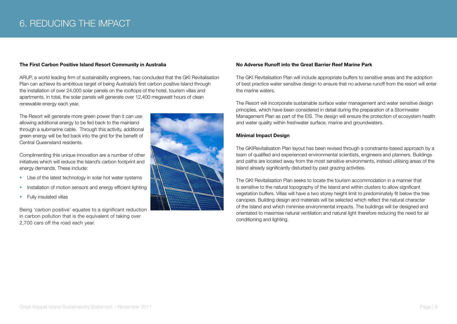### 6. REDUCING THE IMPACT

#### **The First Carbon Positive Island Resort Community in Australia**

ARUP, a world leading firm of sustainability engineers, has concluded that the GKI Revitalisation Plan can achieve its ambitious target of being Australia's first carbon positive Island through the installation of over 24,000 solar panels on the rooftops of the hotel, tourism villas and apartments. In total, the solar panels will generate over 12,400 megawatt hours of clean renewable energy each year.

The Resort will generate more green power than it can use allowing additional energy to be fed back to the mainland through a submarine cable. Through this activity, additional green energy will be fed back into the grid for the benefit of Central Queensland residents.

Complimenting this unique innovation are a number of other initiatives which will reduce the Island's carbon footprint and energy demands. These include:

- Use of the latest technology in solar hot water systems
- Installation of motion sensors and energy efficient lighting
- Fully insulated villas

Being 'carbon positive' equates to a significant reduction in carbon pollution that is the equivalent of taking over 2,700 cars off the road each year.



### **No Adverse Runoff into the Great Barrier Reef Marine Park**

The GKI Revitalisation Plan will include appropriate buffers to sensitive areas and the adoption of best practice water sensitive design to ensure that no adverse runoff from the resort will enter the marine waters.

The Resort will incorporate sustainable surface water management and water sensitive design principles, which have been considered in detail during the preparation of a Stormwater Management Plan as part of the EIS. The design will ensure the protection of ecosystem health and water quality within freshwater surface, marine and groundwaters.

### **Minimal Impact Design**

The GKIRevitalisation Plan layout has been revised through a constraints-based approach by a team of qualified and experienced environmental scientists, engineers and planners. Buildings and paths are located away from the most sensitive environments, instead utilising areas of the Island already significantly disturbed by past grazing activities.

The GKI Revitalisation Plan seeks to locate the tourism accommodation in a manner that is sensitive to the natural topography of the Island and within clusters to allow significant vegetation buffers. Villas will have a two storey height limit to predominately fit below the tree canopies. Building design and materials will be selected which reflect the natural character of the Island and which minimise environmental impacts. The buildings will be designed and orientated to maximise natural ventilation and natural light therefore reducing the need for air conditioning and lighting.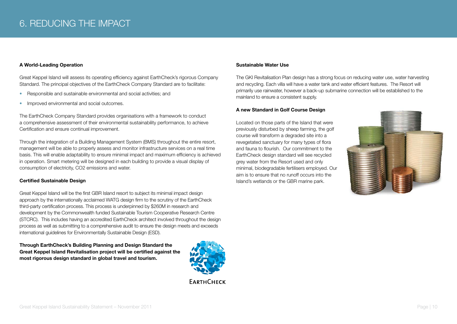### **A World-Leading Operation**

Great Keppel Island will assess its operating efficiency against EarthCheck's rigorous Company Standard. The principal objectives of the EarthCheck Company Standard are to facilitate:

- Responsible and sustainable environmental and social activities; and
- Improved environmental and social outcomes.

The EarthCheck Company Standard provides organisations with a framework to conduct a comprehensive assessment of their environmental sustainability performance, to achieve Certification and ensure continual improvement.

Through the integration of a Building Management System (BMS) throughout the entire resort, management will be able to properly assess and monitor infrastructure services on a real time basis. This will enable adaptability to ensure minimal impact and maximum efficiency is achieved in operation. Smart metering will be designed in each building to provide a visual display of consumption of electricity, CO2 emissions and water.

### **Certified Sustainable Design**

Great Keppel Island will be the first GBR Island resort to subject its minimal impact design approach by the internationally acclaimed WATG design firm to the scrutiny of the EarthCheck third-party certification process. This process is underpinned by \$260M in research and development by the Commonwealth funded Sustainable Tourism Cooperative Research Centre (STCRC). This includes having an accredited EarthCheck architect involved throughout the design process as well as submitting to a comprehensive audit to ensure the design meets and exceeds international quidelines for Environmentally Sustainable Design (ESD).

**Through EarthCheck's Building Planning and Design Standard the Great Keppel Island Revitalisation project will be certified against the most rigorous design standard in global travel and tourism.**



### **Sustainable Water Use**

The GKI Revitalisation Plan design has a strong focus on reducing water use, water harvesting and recycling. Each villa will have a water tank and water efficient features. The Resort will primarily use rainwater, however a back-up submarine connection will be established to the mainland to ensure a consistent supply.

#### **A new Standard in Golf Course Design**

Located on those parts of the Island that were previously disturbed by sheep farming, the golf course will transform a degraded site into a revegetated sanctuary for many types of flora and fauna to flourish. Our commitment to the EarthCheck design standard will see recycled grey water from the Resort used and only minimal, biodegradable fertilisers employed. Our aim is to ensure that no runoff occurs into the Island's wetlands or the GBR marine park.

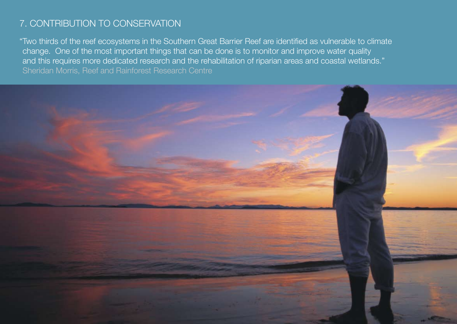# 7. CONTRIBUTION TO CONSERVATION

"Two thirds of the reef ecosystems in the Southern Great Barrier Reef are identified as vulnerable to climate change. One of the most important things that can be done is to monitor and improve water quality and this requires more dedicated research and the rehabilitation of riparian areas and coastal wetlands." Sheridan Morris, Reef and Rainforest Research Centre

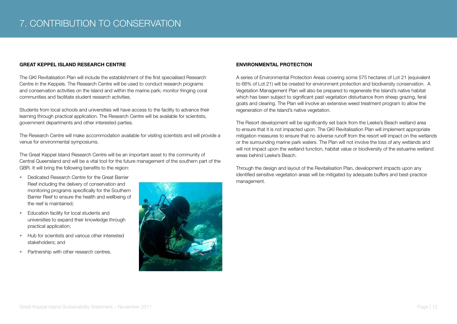### **GREAT KEPPEL ISLAND RESEARCH CENTRE**

The GKI Revitalisation Plan will include the establishment of the first specialised Research Centre in the Keppels. The Research Centre will be used to conduct research programs and conservation activities on the Island and within the marine park; monitor fringing coral communities and facilitate student research activities.

Students from local schools and universities will have access to the facility to advance their learning through practical application. The Research Centre will be available for scientists, government departments and other interested parties.

The Research Centre will make accommodation available for visiting scientists and will provide a venue for environmental symposiums.

The Great Keppel Island Research Centre will be an important asset to the community of Central Queensland and will be a vital tool for the future management of the southern part of the GBR. It will bring the following benefits to the region:

- Dedicated Research Centre for the Great Barrier Reef including the delivery of conservation and monitoring programs specifically for the Southern Barrier Reef to ensure the health and wellbeing of the reef is maintained;
- Education facility for local students and universities to expand their knowledge through practical application;
- Hub for scientists and various other interested stakeholders; and
- Partnership with other research centres.



### **ENVIRONMENTAL PROTECTION**

A series of Environmental Protection Areas covering some 575 hectares of Lot 21 (equivalent to 66% of Lot 21) will be created for environment protection and biodiversity conservation. A Vegetation Management Plan will also be prepared to regenerate the Island's native habitat which has been subject to significant past vegetation disturbance from sheep grazing, feral goats and clearing. The Plan will involve an extensive weed treatment program to allow the regeneration of the Island's native vegetation.

The Resort development will be significantly set back from the Leeke's Beach wetland area to ensure that it is not impacted upon. The GKI Revitalisation Plan will implement appropriate mitigation measures to ensure that no adverse runoff from the resort will impact on the wetlands or the surrounding marine park waters. The Plan will not involve the loss of any wetlands and will not impact upon the wetland function, habitat value or biodiversity of the estuarine wetland areas behind Leeke's Beach.

Through the design and layout of the Revitalisation Plan, development impacts upon any identified sensitive vegetation areas will be mitigated by adequate buffers and best-practice management.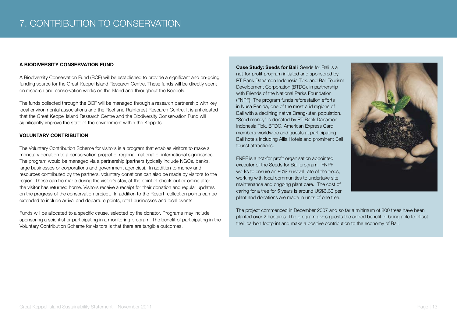### **A BIODIVERSITY CONSERVATION FUND**

A Biodiversity Conservation Fund (BCF) will be established to provide a significant and on-going funding source for the Great Keppel Island Research Centre. These funds will be directly spent on research and conservation works on the Island and throughout the Keppels.

The funds collected through the BCF will be managed through a research partnership with key local environmental associations and the Reef and Rainforest Research Centre. It is anticipated that the Great Keppel Island Research Centre and the Biodiversity Conservation Fund will significantly improve the state of the environment within the Keppels.

### **VOLUNTARY CONTRIBUTION**

The Voluntary Contribution Scheme for visitors is a program that enables visitors to make a monetary donation to a conservation project of regional, national or international significance. The program would be managed via a partnership (partners typically include NGOs, banks, large businesses or corporations and government agencies). In addition to money and resources contributed by the partners, voluntary donations can also be made by visitors to the region. These can be made during the visitor's stay, at the point of check-out or online after the visitor has returned home. Visitors receive a receipt for their donation and regular updates on the progress of the conservation project. In addition to the Resort, collection points can be extended to include arrival and departure points, retail businesses and local events.

Funds will be allocated to a specific cause, selected by the donator. Programs may include sponsoring a scientist or participating in a monitoring program. The benefit of participating in the Voluntary Contribution Scheme for visitors is that there are tangible outcomes.

**Case Study: Seeds for Bali** Seeds for Bali is a not-for-profit program initiated and sponsored by PT Bank Danamon Indonesia Tbk. and Bali Tourism Development Corporation (BTDC), in partnership with Friends of the National Parks Foundation (FNPF). The program funds reforestation efforts in Nusa Penida, one of the most arid regions of Bali with a declining native Orang-utan population. "Seed money" is donated by PT Bank Danamon Indonesia Tbk, BTDC, American Express Card members worldwide and guests at participating Bali hotels including Alila Hotels and prominent Bali tourist attractions.

FNPF is a not-for profit organisation appointed executor of the Seeds for Bali program. FNPF works to ensure an 80% survival rate of the trees, working with local communities to undertake site maintenance and ongoing plant care. The cost of caring for a tree for 5 years is around US\$3.30 per plant and donations are made in units of one tree.

The project commenced in December 2007 and so far a minimum of 800 trees have been planted over 2 hectares. The program gives guests the added benefit of being able to offset their carbon footprint and make a positive contribution to the economy of Bali.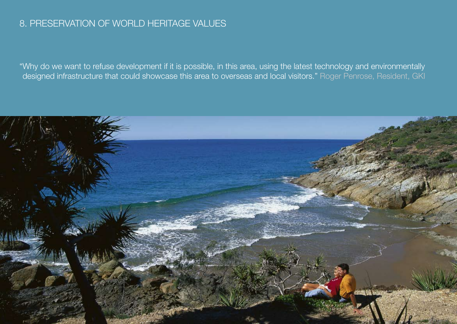## 8. PRESERVATION OF WORLD HERITAGE VALUES

"Why do we want to refuse development if it is possible, in this area, using the latest technology and environmentally designed infrastructure that could showcase this area to overseas and local visitors." Roger Penrose, Resident, GKI